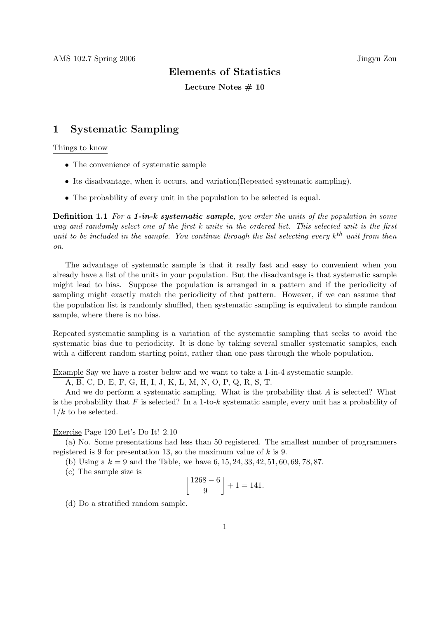### Elements of Statistics

Lecture Notes  $# 10$ 

## 1 Systematic Sampling

#### Things to know

- The convenience of systematic sample
- Its disadvantage, when it occurs, and variation(Repeated systematic sampling).
- The probability of every unit in the population to be selected is equal.

**Definition 1.1** For a 1-in-k systematic sample, you order the units of the population in some way and randomly select one of the first k units in the ordered list. This selected unit is the first unit to be included in the sample. You continue through the list selecting every  $k^{th}$  unit from then on.

The advantage of systematic sample is that it really fast and easy to convenient when you already have a list of the units in your population. But the disadvantage is that systematic sample might lead to bias. Suppose the population is arranged in a pattern and if the periodicity of sampling might exactly match the periodicity of that pattern. However, if we can assume that the population list is randomly shuffled, then systematic sampling is equivalent to simple random sample, where there is no bias.

Repeated systematic sampling is a variation of the systematic sampling that seeks to avoid the systematic bias due to periodicity. It is done by taking several smaller systematic samples, each with a different random starting point, rather than one pass through the whole population.

Example Say we have a roster below and we want to take a 1-in-4 systematic sample.

A, B, C, D, E, F, G, H, I, J, K, L, M, N, O, P, Q, R, S, T.

And we do perform a systematic sampling. What is the probability that A is selected? What is the probability that  $F$  is selected? In a 1-to-k systematic sample, every unit has a probability of  $1/k$  to be selected.

#### Exercise Page 120 Let's Do It! 2.10

(a) No. Some presentations had less than 50 registered. The smallest number of programmers registered is 9 for presentation 13, so the maximum value of  $k$  is 9.

(b) Using a  $k = 9$  and the Table, we have  $6, 15, 24, 33, 42, 51, 60, 69, 78, 87$ .

(c) The sample size is

$$
\left\lfloor \frac{1268 - 6}{9} \right\rfloor + 1 = 141.
$$

(d) Do a stratified random sample.